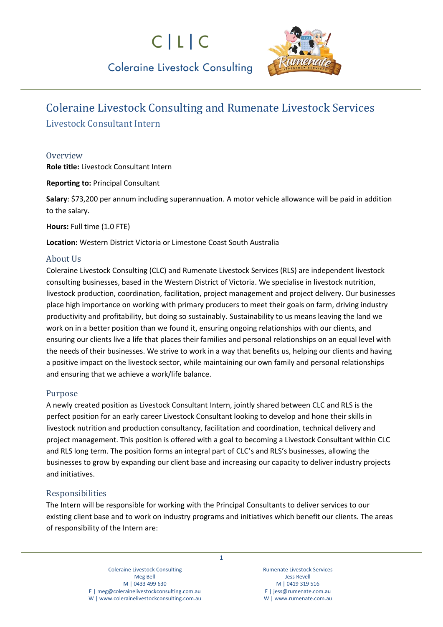# $C|L|C$



# **Coleraine Livestock Consulting**

# Coleraine Livestock Consulting and Rumenate Livestock Services

Livestock Consultant Intern

### **Overview**

**Role title:** Livestock Consultant Intern

**Reporting to:** Principal Consultant

**Salary**: \$73,200 per annum including superannuation. A motor vehicle allowance will be paid in addition to the salary.

**Hours:** Full time (1.0 FTE)

**Location:** Western District Victoria or Limestone Coast South Australia

## About Us

Coleraine Livestock Consulting (CLC) and Rumenate Livestock Services (RLS) are independent livestock consulting businesses, based in the Western District of Victoria. We specialise in livestock nutrition, livestock production, coordination, facilitation, project management and project delivery. Our businesses place high importance on working with primary producers to meet their goals on farm, driving industry productivity and profitability, but doing so sustainably. Sustainability to us means leaving the land we work on in a better position than we found it, ensuring ongoing relationships with our clients, and ensuring our clients live a life that places their families and personal relationships on an equal level with the needs of their businesses. We strive to work in a way that benefits us, helping our clients and having a positive impact on the livestock sector, while maintaining our own family and personal relationships and ensuring that we achieve a work/life balance.

## Purpose

A newly created position as Livestock Consultant Intern, jointly shared between CLC and RLS is the perfect position for an early career Livestock Consultant looking to develop and hone their skills in livestock nutrition and production consultancy, facilitation and coordination, technical delivery and project management. This position is offered with a goal to becoming a Livestock Consultant within CLC and RLS long term. The position forms an integral part of CLC's and RLS's businesses, allowing the businesses to grow by expanding our client base and increasing our capacity to deliver industry projects and initiatives.

## Responsibilities

The Intern will be responsible for working with the Principal Consultants to deliver services to our existing client base and to work on industry programs and initiatives which benefit our clients. The areas of responsibility of the Intern are:

Rumenate Livestock Services Jess Revell M | 0419 319 516 E [| jess@rumenate.com.au](mailto:jess@rumenate.com.au) W [| www.rumenate.com.au](http://www.rumenate.com.au/)

1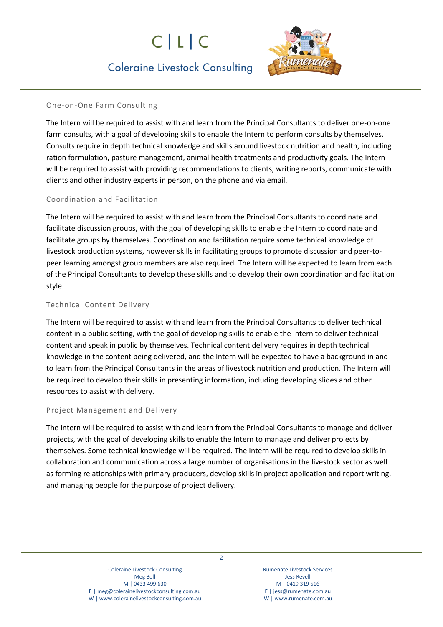# $C|L|C$



# **Coleraine Livestock Consulting**

#### One-on-One Farm Consulting

The Intern will be required to assist with and learn from the Principal Consultants to deliver one-on-one farm consults, with a goal of developing skills to enable the Intern to perform consults by themselves. Consults require in depth technical knowledge and skills around livestock nutrition and health, including ration formulation, pasture management, animal health treatments and productivity goals. The Intern will be required to assist with providing recommendations to clients, writing reports, communicate with clients and other industry experts in person, on the phone and via email.

#### Coordination and Facilitation

The Intern will be required to assist with and learn from the Principal Consultants to coordinate and facilitate discussion groups, with the goal of developing skills to enable the Intern to coordinate and facilitate groups by themselves. Coordination and facilitation require some technical knowledge of livestock production systems, however skills in facilitating groups to promote discussion and peer-topeer learning amongst group members are also required. The Intern will be expected to learn from each of the Principal Consultants to develop these skills and to develop their own coordination and facilitation style.

#### Technical Content Delivery

The Intern will be required to assist with and learn from the Principal Consultants to deliver technical content in a public setting, with the goal of developing skills to enable the Intern to deliver technical content and speak in public by themselves. Technical content delivery requires in depth technical knowledge in the content being delivered, and the Intern will be expected to have a background in and to learn from the Principal Consultants in the areas of livestock nutrition and production. The Intern will be required to develop their skills in presenting information, including developing slides and other resources to assist with delivery.

#### Project Management and Delivery

The Intern will be required to assist with and learn from the Principal Consultants to manage and deliver projects, with the goal of developing skills to enable the Intern to manage and deliver projects by themselves. Some technical knowledge will be required. The Intern will be required to develop skills in collaboration and communication across a large number of organisations in the livestock sector as well as forming relationships with primary producers, develop skills in project application and report writing, and managing people for the purpose of project delivery.

> Coleraine Livestock Consulting Meg Bell M | 0433 499 630 E | [meg@colerainelivestockconsulting.com.au](mailto:meg@colerainelivestockconsulting.com.au) W [| www.colerainelivestockconsulting.com.au](http://www.colerainelivestockconsulting.com.au/)

Rumenate Livestock Services Jess Revell M | 0419 319 516 E [| jess@rumenate.com.au](mailto:jess@rumenate.com.au) W [| www.rumenate.com.au](http://www.rumenate.com.au/)